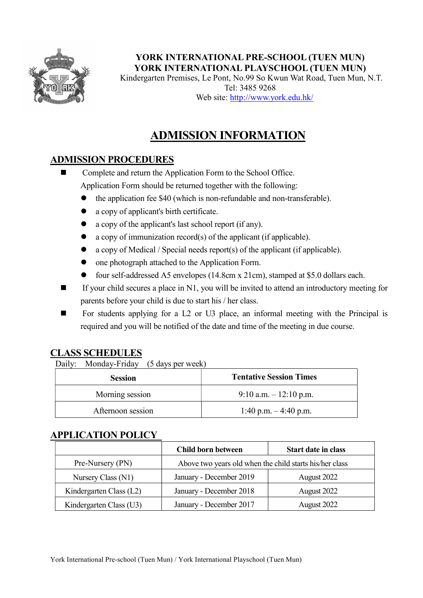

YORK INTERNATIONAL PRE-SCHOOL (TUEN MUN) YORK INTERNATIONAL PLAYSCHOOL (TUEN MUN)

Kindergarten Premises, Le Pont, No.99 So Kwun Wat Road, Tuen Mun, N.T. Tel: 3485 9268 Web site: http://www.york.edu.hk/

# ADMISSION INFORMATION

## ADMISSION PROCEDURES

■ Complete and return the Application Form to the School Office. Application Form should be returned together with the following:

- the application fee \$40 (which is non-refundable and non-transferable).
- a copy of applicant's birth certificate.
- a copy of the applicant's last school report (if any).
- $\bullet$  a copy of immunization record(s) of the applicant (if applicable).
- a copy of Medical / Special needs report(s) of the applicant (if applicable).
- one photograph attached to the Application Form.
- four self-addressed A5 envelopes (14.8cm x 21cm), stamped at \$5.0 dollars each.
- $\blacksquare$  If your child secures a place in N1, you will be invited to attend an introductory meeting for parents before your child is due to start his / her class.
- For students applying for a L2 or U3 place, an informal meeting with the Principal is required and you will be notified of the date and time of the meeting in due course.

## CLASS SCHEDULES

Daily: Monday-Friday (5 days per week)

| <b>Session</b>    | <b>Tentative Session Times</b> |
|-------------------|--------------------------------|
| Morning session   | 9:10 a.m. $-12:10$ p.m.        |
| Afternoon session | 1:40 p.m. $-4:40$ p.m.         |

#### APPLICATION POLICY

|                         | Child born between                                      | <b>Start date in class</b> |
|-------------------------|---------------------------------------------------------|----------------------------|
| Pre-Nursery (PN)        | Above two years old when the child starts his/her class |                            |
| Nursery Class (N1)      | January - December 2019                                 | August 2022                |
| Kindergarten Class (L2) | January - December 2018                                 | August 2022                |
| Kindergarten Class (U3) | January - December 2017                                 | August 2022                |